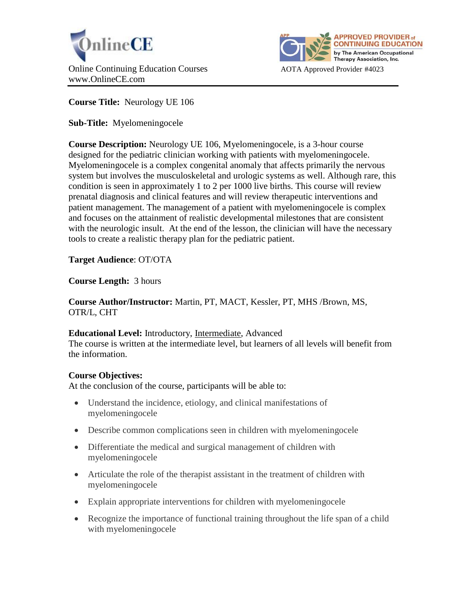



**Course Title:** Neurology UE 106

**Sub-Title:** Myelomeningocele

**Course Description:** Neurology UE 106, Myelomeningocele, is a 3-hour course designed for the pediatric clinician working with patients with myelomeningocele. Myelomeningocele is a complex congenital anomaly that affects primarily the nervous system but involves the musculoskeletal and urologic systems as well. Although rare, this condition is seen in approximately 1 to 2 per 1000 live births. This course will review prenatal diagnosis and clinical features and will review therapeutic interventions and patient management. The management of a patient with myelomeningocele is complex and focuses on the attainment of realistic developmental milestones that are consistent with the neurologic insult. At the end of the lesson, the clinician will have the necessary tools to create a realistic therapy plan for the pediatric patient.

**Target Audience**: OT/OTA

**Course Length:** 3 hours

**Course Author/Instructor:** Martin, PT, MACT, Kessler, PT, MHS /Brown, MS, OTR/L, CHT

**Educational Level:** Introductory, Intermediate, Advanced The course is written at the intermediate level, but learners of all levels will benefit from the information.

## **Course Objectives:**

At the conclusion of the course, participants will be able to:

- Understand the incidence, etiology, and clinical manifestations of myelomeningocele
- Describe common complications seen in children with myelomeningocele
- Differentiate the medical and surgical management of children with myelomeningocele
- Articulate the role of the therapist assistant in the treatment of children with myelomeningocele
- Explain appropriate interventions for children with myelomeningocele
- Recognize the importance of functional training throughout the life span of a child with myelomeningocele